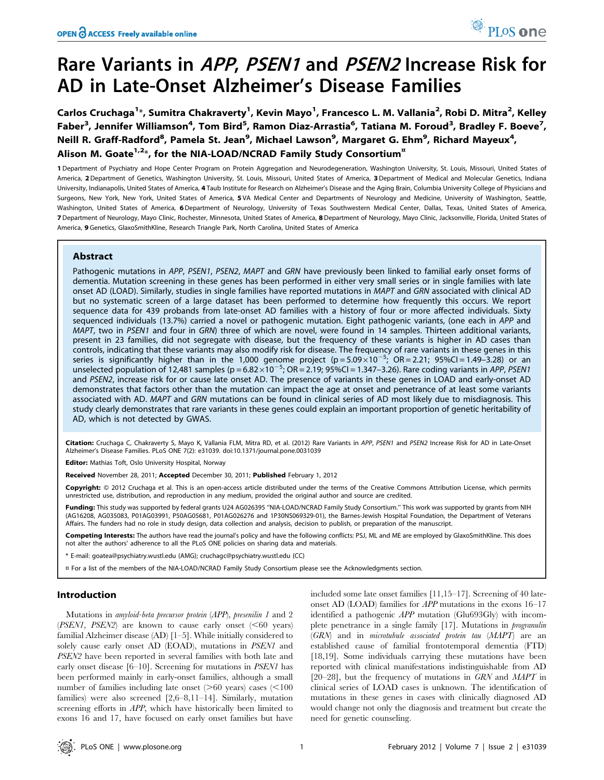# Rare Variants in APP, PSEN1 and PSEN2 Increase Risk for AD in Late-Onset Alzheimer's Disease Families

Carlos Cruchaga<sup>1</sup>\*, Sumitra Chakraverty<sup>1</sup>, Kevin Mayo<sup>1</sup>, Francesco L. M. Vallania<sup>2</sup>, Robi D. Mitra<sup>2</sup>, Kelley Faber<sup>3</sup>, Jennifer Williamson<sup>4</sup>, Tom Bird<sup>5</sup>, Ramon Diaz-Arrastia<sup>6</sup>, Tatiana M. Foroud<sup>3</sup>, Bradley F. Boeve<sup>7</sup>, Neill R. Graff-Radford<sup>8</sup>, Pamela St. Jean<sup>9</sup>, Michael Lawson<sup>9</sup>, Margaret G. Ehm<sup>9</sup>, Richard Mayeux<sup>4</sup>, Alison M. Goate<sup>1,2\*</sup>, for the NIA-LOAD/NCRAD Family Study Consortium<sup>¤</sup>

1 Department of Psychiatry and Hope Center Program on Protein Aggregation and Neurodegeneration, Washington University, St. Louis, Missouri, United States of America, 2Department of Genetics, Washington University, St. Louis, Missouri, United States of America, 3Department of Medical and Molecular Genetics, Indiana University, Indianapolis, United States of America, 4 Taub Institute for Research on Alzheimer's Disease and the Aging Brain, Columbia University College of Physicians and Surgeons, New York, New York, United States of America, 5 VA Medical Center and Departments of Neurology and Medicine, University of Washington, Seattle, Washington, United States of America, 6 Department of Neurology, University of Texas Southwestern Medical Center, Dallas, Texas, United States of America, 7 Department of Neurology, Mayo Clinic, Rochester, Minnesota, United States of America, 8 Department of Neurology, Mayo Clinic, Jacksonville, Florida, United States of America, 9 Genetics, GlaxoSmithKline, Research Triangle Park, North Carolina, United States of America

# Abstract

Pathogenic mutations in APP, PSEN1, PSEN2, MAPT and GRN have previously been linked to familial early onset forms of dementia. Mutation screening in these genes has been performed in either very small series or in single families with late onset AD (LOAD). Similarly, studies in single families have reported mutations in MAPT and GRN associated with clinical AD but no systematic screen of a large dataset has been performed to determine how frequently this occurs. We report sequence data for 439 probands from late-onset AD families with a history of four or more affected individuals. Sixty sequenced individuals (13.7%) carried a novel or pathogenic mutation. Eight pathogenic variants, (one each in APP and MAPT, two in PSEN1 and four in GRN) three of which are novel, were found in 14 samples. Thirteen additional variants, present in 23 families, did not segregate with disease, but the frequency of these variants is higher in AD cases than controls, indicating that these variants may also modify risk for disease. The frequency of rare variants in these genes in this series is significantly higher than in the 1,000 genome project (p=5.09 $\times10^{-5}$ ; OR=2.21; 95%CI=1.49–3.28) or an unselected population of 12,481 samples (p = 6.82 $\times$ 10<sup>-5</sup>; OR = 2.19; 95%CI = 1.347-3.26). Rare coding variants in APP, PSEN1 and PSEN2, increase risk for or cause late onset AD. The presence of variants in these genes in LOAD and early-onset AD demonstrates that factors other than the mutation can impact the age at onset and penetrance of at least some variants associated with AD. MAPT and GRN mutations can be found in clinical series of AD most likely due to misdiagnosis. This study clearly demonstrates that rare variants in these genes could explain an important proportion of genetic heritability of AD, which is not detected by GWAS.

Citation: Cruchaga C, Chakraverty S, Mayo K, Vallania FLM, Mitra RD, et al. (2012) Rare Variants in APP, PSEN1 and PSEN2 Increase Risk for AD in Late-Onset Alzheimer's Disease Families. PLoS ONE 7(2): e31039. doi:10.1371/journal.pone.0031039

Editor: Mathias Toft, Oslo University Hospital, Norway

Received November 28, 2011; Accepted December 30, 2011; Published February 1, 2012

Copyright: © 2012 Cruchaga et al. This is an open-access article distributed under the terms of the Creative Commons Attribution License, which permits unrestricted use, distribution, and reproduction in any medium, provided the original author and source are credited.

Funding: This study was supported by federal grants U24 AG026395 "NIA-LOAD/NCRAD Family Study Consortium." This work was supported by grants from NIH (AG16208, AG035083, P01AG03991, P50AG05681, P01AG026276 and 1P30NS069329-01), the Barnes-Jewish Hospital Foundation, the Department of Veterans Affairs. The funders had no role in study design, data collection and analysis, decision to publish, or preparation of the manuscript.

Competing Interests: The authors have read the journal's policy and have the following conflicts: PSJ, ML and ME are employed by GlaxoSmithKline. This does not alter the authors' adherence to all the PLoS ONE policies on sharing data and materials.

oatea@psychiatry.wustl.edu (AMG); cruchagc@psychiatry.wustl.edu (CC)

¤ For a list of the members of the NIA-LOAD/NCRAD Family Study Consortium please see the Acknowledgments section.

# Introduction

Mutations in *amyloid-beta precursor protein (APP)*, *presenilin 1* and 2 (*PSEN1*, *PSEN2*) are known to cause early onset  $\leq 60$  years) familial Alzheimer disease (AD) [1–5]. While initially considered to solely cause early onset AD (EOAD), mutations in PSEN1 and PSEN2 have been reported in several families with both late and early onset disease [6–10]. Screening for mutations in PSEN1 has been performed mainly in early-onset families, although a small number of families including late onset  $(>= 60 \text{ years})$  cases  $(< 100 \text{ years})$ families) were also screened [2,6–8,11–14]. Similarly, mutation screening efforts in APP, which have historically been limited to exons 16 and 17, have focused on early onset families but have included some late onset families [11,15–17]. Screening of 40 lateonset AD (LOAD) families for APP mutations in the exons 16–17 identified a pathogenic APP mutation (Glu693Gly) with incomplete penetrance in a single family [17]. Mutations in progranulin (GRN) and in microtubule associated protein tau (MAPT) are an established cause of familial frontotemporal dementia (FTD) [18,19]. Some individuals carrying these mutations have been reported with clinical manifestations indistinguishable from AD [20–28], but the frequency of mutations in  $GRN$  and  $MAPT$  in clinical series of LOAD cases is unknown. The identification of mutations in these genes in cases with clinically diagnosed AD would change not only the diagnosis and treatment but create the need for genetic counseling.

<sup>O</sup> PLoS one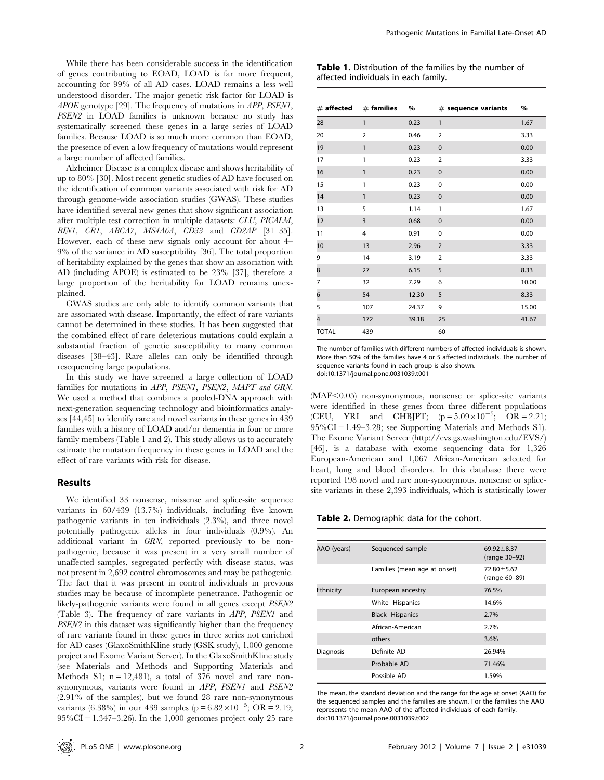While there has been considerable success in the identification of genes contributing to EOAD, LOAD is far more frequent, accounting for 99% of all AD cases. LOAD remains a less well understood disorder. The major genetic risk factor for LOAD is APOE genotype [29]. The frequency of mutations in APP, PSEN1, PSEN2 in LOAD families is unknown because no study has systematically screened these genes in a large series of LOAD families. Because LOAD is so much more common than EOAD, the presence of even a low frequency of mutations would represent a large number of affected families.

Alzheimer Disease is a complex disease and shows heritability of up to 80% [30]. Most recent genetic studies of AD have focused on the identification of common variants associated with risk for AD through genome-wide association studies (GWAS). These studies have identified several new genes that show significant association after multiple test correction in multiple datasets: CLU, PICALM, BIN1, CR1, ABCA7, MS4A6A, CD33 and CD2AP [31–35]. However, each of these new signals only account for about 4– 9% of the variance in AD susceptibility [36]. The total proportion of heritability explained by the genes that show an association with AD (including APOE) is estimated to be 23% [37], therefore a large proportion of the heritability for LOAD remains unexplained.

GWAS studies are only able to identify common variants that are associated with disease. Importantly, the effect of rare variants cannot be determined in these studies. It has been suggested that the combined effect of rare deleterious mutations could explain a substantial fraction of genetic susceptibility to many common diseases [38–43]. Rare alleles can only be identified through resequencing large populations.

In this study we have screened a large collection of LOAD families for mutations in APP, PSEN1, PSEN2, MAPT and GRN. We used a method that combines a pooled-DNA approach with next-generation sequencing technology and bioinformatics analyses [44,45] to identify rare and novel variants in these genes in 439 families with a history of LOAD and/or dementia in four or more family members (Table 1 and 2). This study allows us to accurately estimate the mutation frequency in these genes in LOAD and the effect of rare variants with risk for disease.

# Results

We identified 33 nonsense, missense and splice-site sequence variants in 60/439 (13.7%) individuals, including five known pathogenic variants in ten individuals (2.3%), and three novel potentially pathogenic alleles in four individuals (0.9%). An additional variant in GRN, reported previously to be nonpathogenic, because it was present in a very small number of unaffected samples, segregated perfectly with disease status, was not present in 2,692 control chromosomes and may be pathogenic. The fact that it was present in control individuals in previous studies may be because of incomplete penetrance. Pathogenic or likely-pathogenic variants were found in all genes except PSEN2 (Table 3). The frequency of rare variants in APP, PSEN1 and PSEN2 in this dataset was significantly higher than the frequency of rare variants found in these genes in three series not enriched for AD cases (GlaxoSmithKline study (GSK study), 1,000 genome project and Exome Variant Server). In the GlaxoSmithKline study (see Materials and Methods and Supporting Materials and Methods S1;  $n = 12,481$ , a total of 376 novel and rare nonsynonymous, variants were found in APP, PSEN1 and PSEN2 (2.91% of the samples), but we found 28 rare non-synonymous variants (6.38%) in our 439 samples ( $p = 6.82 \times 10^{-5}$ ; OR = 2.19;  $95\%$ CI = 1.347–3.26). In the 1,000 genomes project only 25 rare

Table 1. Distribution of the families by the number of affected individuals in each family.

| $#$ affected $#$ families |                | $\%$  | $#$ sequence variants | $\%$  |
|---------------------------|----------------|-------|-----------------------|-------|
| 28                        | $\mathbf{1}$   | 0.23  | $\mathbf{1}$          | 1.67  |
| 20                        | $\overline{2}$ | 0.46  | $\overline{2}$        | 3.33  |
| 19                        | $\mathbf{1}$   | 0.23  | $\mathbf 0$           | 0.00  |
| 17                        | 1              | 0.23  | $\overline{2}$        | 3.33  |
| 16                        | $\mathbf{1}$   | 0.23  | $\mathbf 0$           | 0.00  |
| 15                        | 1              | 0.23  | 0                     | 0.00  |
| 14                        | $\mathbf{1}$   | 0.23  | $\mathbf{0}$          | 0.00  |
| 13                        | 5              | 1.14  | 1                     | 1.67  |
| 12                        | 3              | 0.68  | $\mathbf{0}$          | 0.00  |
| 11                        | 4              | 0.91  | $\mathbf 0$           | 0.00  |
| 10                        | 13             | 2.96  | $\overline{2}$        | 3.33  |
| 9                         | 14             | 3.19  | $\overline{2}$        | 3.33  |
| 8                         | 27             | 6.15  | 5                     | 8.33  |
| $\overline{7}$            | 32             | 7.29  | 6                     | 10.00 |
| 6                         | 54             | 12.30 | 5                     | 8.33  |
| 5                         | 107            | 24.37 | 9                     | 15.00 |
| $\overline{4}$            | 172            | 39.18 | 25                    | 41.67 |
| <b>TOTAL</b>              | 439            |       | 60                    |       |

The number of families with different numbers of affected individuals is shown. More than 50% of the families have 4 or 5 affected individuals. The number of sequence variants found in each group is also shown. doi:10.1371/journal.pone.0031039.t001

(MAF<0.05) non-synonymous, nonsense or splice-site variants were identified in these genes from three different populations (CEU, YRI and CHBJPT;  $(p=5.09 \times 10^{-5})$ ; OR = 2.21; 95%CI = 1.49–3.28; see Supporting Materials and Methods S1). The Exome Variant Server (http://evs.gs.washington.edu/EVS/) [46], is a database with exome sequencing data for 1,326 European-American and 1,067 African-American selected for heart, lung and blood disorders. In this database there were reported 198 novel and rare non-synonymous, nonsense or splicesite variants in these 2,393 individuals, which is statistically lower

#### Table 2. Demographic data for the cohort.

| AAO (years) | Sequenced sample             | $69.92 \pm 8.37$<br>(range 30-92) |
|-------------|------------------------------|-----------------------------------|
|             | Families (mean age at onset) | $72.80 \pm 5.62$<br>(range 60-89) |
| Ethnicity   | European ancestry            | 76.5%                             |
|             | White-Hispanics              | 14.6%                             |
|             | <b>Black-Hispanics</b>       | 2.7%                              |
|             | African-American             | 2.7%                              |
|             | others                       | 3.6%                              |
| Diagnosis   | Definite AD                  | 26.94%                            |
|             | Probable AD                  | 71.46%                            |
|             | Possible AD                  | 1.59%                             |
|             |                              |                                   |

The mean, the standard deviation and the range for the age at onset (AAO) for the sequenced samples and the families are shown. For the families the AAO represents the mean AAO of the affected individuals of each family. doi:10.1371/journal.pone.0031039.t002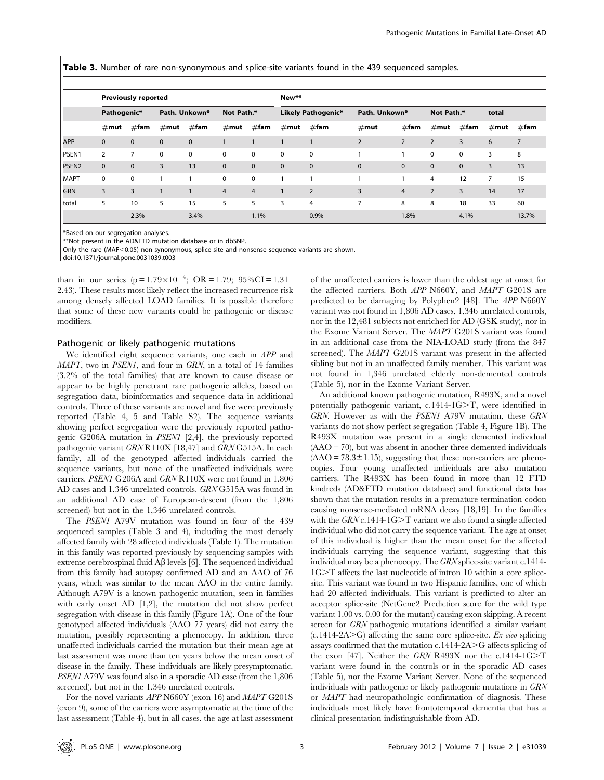Table 3. Number of rare non-synonymous and splice-site variants found in the 439 sequenced samples.

|                   | <b>Previously reported</b> |                |               |             |                |                | New**                     |                |                |              |                |             |                |       |
|-------------------|----------------------------|----------------|---------------|-------------|----------------|----------------|---------------------------|----------------|----------------|--------------|----------------|-------------|----------------|-------|
|                   | Pathogenic*                |                | Path. Unkown* |             | Not Path.*     |                | <b>Likely Pathogenic*</b> |                | Path. Unkown*  |              | Not Path.*     |             | total          |       |
|                   | $\#\mathsf{mut}$           | #fam           | #mut          | #fam        | #mut           | #fam           | #mut                      | #fam           | #mut           | #fam         | #mut           | #fam        | #mut           | #fam  |
| APP               | $\mathbf{0}$               | $\mathbf{0}$   | $\mathbf{0}$  | $\mathbf 0$ |                |                |                           |                | $\overline{2}$ | 2            | $\overline{2}$ | 3           | 6              | 7     |
| PSEN <sub>1</sub> | $\overline{2}$             | $\overline{7}$ | $\Omega$      | 0           | $\mathbf 0$    | 0              | 0                         | $\mathbf 0$    |                |              | $\Omega$       | 0           | 3              | 8     |
| PSEN <sub>2</sub> | $\mathbf{0}$               | $\mathbf{0}$   | 3             | 13          | $\mathbf{0}$   | $\mathbf{0}$   | $\mathbf{0}$              | $\mathbf{0}$   | $\mathbf{0}$   | $\mathbf{0}$ | $\mathbf{0}$   | $\mathbf 0$ | 3              | 13    |
| <b>MAPT</b>       | $\mathbf 0$                | $\Omega$       |               |             | $\mathbf 0$    | 0              |                           |                |                |              | 4              | 12          | $\overline{7}$ | 15    |
| l GRN             | 3                          | 3              |               |             | $\overline{4}$ | $\overline{4}$ |                           | $\overline{2}$ | 3              | 4            | $\overline{2}$ | 3           | 14             | 17    |
| total             | 5                          | 10             | 5             | 15          | 5              | 5              | 3                         | $\overline{4}$ |                | 8            | 8              | 18          | 33             | 60    |
|                   |                            | 2.3%           |               | 3.4%        |                | 1.1%           |                           | 0.9%           |                | 1.8%         |                | 4.1%        |                | 13.7% |

\*Based on our segregation analyses.

\*\*Not present in the AD&FTD mutation database or in dbSNP.

Only the rare (MAF<0.05) non-synonymous, splice-site and nonsense sequence variants are shown.

doi:10.1371/journal.pone.0031039.t003

than in our series  $(p=1.79\times10^{-4}; \text{ OR }=1.79; 95\% \text{ CI }=1.31-$ 2.43). These results most likely reflect the increased recurrence risk among densely affected LOAD families. It is possible therefore that some of these new variants could be pathogenic or disease modifiers.

# Pathogenic or likely pathogenic mutations

We identified eight sequence variants, one each in APP and MAPT, two in PSEN1, and four in GRN, in a total of 14 families (3.2% of the total families) that are known to cause disease or appear to be highly penetrant rare pathogenic alleles, based on segregation data, bioinformatics and sequence data in additional controls. Three of these variants are novel and five were previously reported (Table 4, 5 and Table S2). The sequence variants showing perfect segregation were the previously reported pathogenic G206A mutation in PSEN1 [2,4], the previously reported pathogenic variant GRN R110X [18,47] and GRN G515A. In each family, all of the genotyped affected individuals carried the sequence variants, but none of the unaffected individuals were carriers. PSEN1 G206A and GRN R110X were not found in 1,806 AD cases and 1,346 unrelated controls. GRN G515A was found in an additional AD case of European-descent (from the 1,806 screened) but not in the 1,346 unrelated controls.

The PSEN1 A79V mutation was found in four of the 439 sequenced samples (Table 3 and 4), including the most densely affected family with 28 affected individuals (Table 1). The mutation in this family was reported previously by sequencing samples with extreme cerebrospinal fluid  $\mathbf{A}\boldsymbol{\beta}$  levels [6]. The sequenced individual from this family had autopsy confirmed AD and an AAO of 76 years, which was similar to the mean AAO in the entire family. Although A79V is a known pathogenic mutation, seen in families with early onset AD [1,2], the mutation did not show perfect segregation with disease in this family (Figure 1A). One of the four genotyped affected individuals (AAO 77 years) did not carry the mutation, possibly representing a phenocopy. In addition, three unaffected individuals carried the mutation but their mean age at last assessment was more than ten years below the mean onset of disease in the family. These individuals are likely presymptomatic. PSEN1 A79V was found also in a sporadic AD case (from the 1,806 screened), but not in the 1,346 unrelated controls.

For the novel variants APP N660Y (exon 16) and MAPT G201S (exon 9), some of the carriers were asymptomatic at the time of the last assessment (Table 4), but in all cases, the age at last assessment of the unaffected carriers is lower than the oldest age at onset for the affected carriers. Both APP N660Y, and MAPT G201S are predicted to be damaging by Polyphen2 [48]. The APP N660Y variant was not found in 1,806 AD cases, 1,346 unrelated controls, nor in the 12,481 subjects not enriched for AD (GSK study), nor in the Exome Variant Server. The MAPT G201S variant was found in an additional case from the NIA-LOAD study (from the 847 screened). The MAPT G201S variant was present in the affected sibling but not in an unaffected family member. This variant was not found in 1,346 unrelated elderly non-demented controls (Table 5), nor in the Exome Variant Server.

An additional known pathogenic mutation, R493X, and a novel potentially pathogenic variant,  $c.1414$ -1 $G>T$ , were identified in GRN. However as with the PSEN1 A79V mutation, these GRN variants do not show perfect segregation (Table 4, Figure 1B). The R493X mutation was present in a single demented individual  $(AAO = 70)$ , but was absent in another three demented individuals  $(AAO = 78.3 \pm 1.15)$ , suggesting that these non-carriers are phenocopies. Four young unaffected individuals are also mutation carriers. The R493X has been found in more than 12 FTD kindreds (AD&FTD mutation database) and functional data has shown that the mutation results in a premature termination codon causing nonsense-mediated mRNA decay [18,19]. In the families with the  $GRN c.1414-1G>T$  variant we also found a single affected individual who did not carry the sequence variant. The age at onset of this individual is higher than the mean onset for the affected individuals carrying the sequence variant, suggesting that this individual may be a phenocopy. The GRN splice-site variant c.1414-  $1G>T$  affects the last nucleotide of intron 10 within a core splicesite. This variant was found in two Hispanic families, one of which had 20 affected individuals. This variant is predicted to alter an acceptor splice-site (NetGene2 Prediction score for the wild type variant 1.00 vs. 0.00 for the mutant) causing exon skipping. A recent screen for GRN pathogenic mutations identified a similar variant  $(c.1414-2A>G)$  affecting the same core splice-site. Ex vivo splicing assays confirmed that the mutation c.1414-2A $>$ G affects splicing of the exon [47]. Neither the  $GRN$  R493X nor the c.1414-1G $\geq$ T variant were found in the controls or in the sporadic AD cases (Table 5), nor the Exome Variant Server. None of the sequenced individuals with pathogenic or likely pathogenic mutations in GRN or MAPT had neuropathologic confirmation of diagnosis. These individuals most likely have frontotemporal dementia that has a clinical presentation indistinguishable from AD.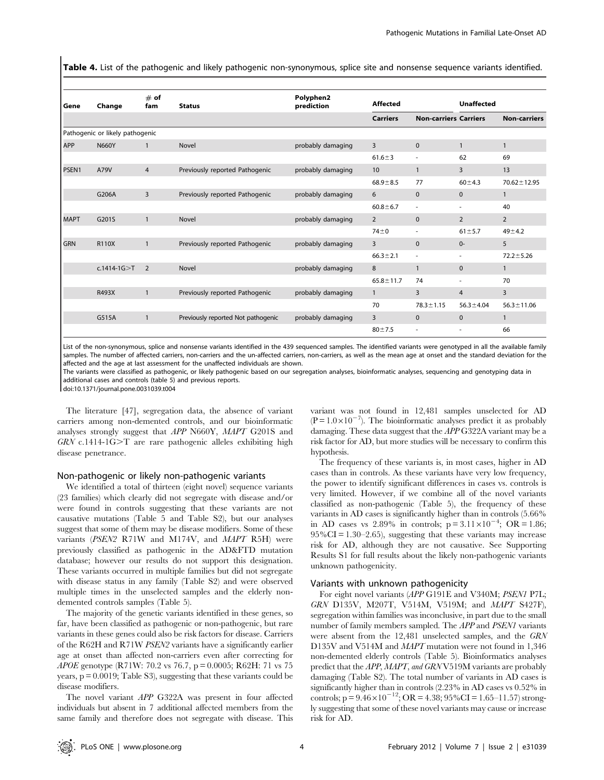Table 4. List of the pathogenic and likely pathogenic non-synonymous, splice site and nonsense sequence variants identified.

| Gene          | Change                          | $#$ of<br>fam  | <b>Status</b>                      | Polyphen2<br>prediction | <b>Affected</b> |                              | <b>Unaffected</b> |                     |
|---------------|---------------------------------|----------------|------------------------------------|-------------------------|-----------------|------------------------------|-------------------|---------------------|
|               |                                 |                |                                    |                         | <b>Carriers</b> | <b>Non-carriers Carriers</b> |                   | <b>Non-carriers</b> |
|               | Pathogenic or likely pathogenic |                |                                    |                         |                 |                              |                   |                     |
| <b>APP</b>    | <b>N660Y</b>                    | $\mathbf{1}$   | Novel                              | probably damaging       | 3               | $\mathbf{0}$                 | $\mathbf{1}$      | $\mathbf{1}$        |
|               |                                 |                |                                    |                         | $61.6 \pm 3$    | $\sim$                       | 62                | 69                  |
| PSEN1<br>A79V |                                 | $\overline{4}$ | Previously reported Pathogenic     | probably damaging       | 10              | $\mathbf{1}$                 | 3                 | 13                  |
|               |                                 |                |                                    |                         | $68.9 \pm 8.5$  | 77                           | $60 + 4.3$        | $70.62 \pm 12.95$   |
|               | G206A                           | 3              | Previously reported Pathogenic     | probably damaging       | 6               | $\mathbf{0}$                 | $\Omega$          | $\mathbf{1}$        |
|               |                                 |                |                                    |                         | $60.8 \pm 6.7$  | ٠                            | ٠                 | 40                  |
| <b>MAPT</b>   | G201S                           | $\mathbf{1}$   | Novel                              | probably damaging       | $\overline{2}$  | $\Omega$                     | 2                 | $\overline{2}$      |
|               |                                 |                |                                    |                         | $74 + 0$        | $\overline{\phantom{a}}$     | $61 \pm 5.7$      | $49 + 4.2$          |
| <b>GRN</b>    | R110X                           | $\mathbf{1}$   | Previously reported Pathogenic     | probably damaging       | 3               | $\Omega$                     | $O -$             | 5                   |
|               |                                 |                |                                    |                         | $66.3 \pm 2.1$  | $\sim$                       | ٠                 | $72.2 \pm 5.26$     |
|               | $c.1414 - 1G > T$               | $\overline{2}$ | Novel                              | probably damaging       | 8               | $\mathbf{1}$                 | $\Omega$          | $\mathbf{1}$        |
|               |                                 |                |                                    |                         | $65.8 \pm 11.7$ | 74                           | ÷,                | 70                  |
|               | R493X                           | $\mathbf{1}$   | Previously reported Pathogenic     | probably damaging       | $\mathbf{1}$    | 3                            | $\overline{4}$    | $\overline{3}$      |
|               |                                 |                |                                    |                         | 70              | $78.3 \pm 1.15$              | $56.3 \pm 4.04$   | $56.3 \pm 11.06$    |
|               | G515A                           | $\mathbf{1}$   | Previously reported Not pathogenic | probably damaging       | 3               | $\Omega$                     | $\Omega$          | $\mathbf{1}$        |
|               |                                 |                |                                    |                         | $80 + 7.5$      | $\overline{\phantom{a}}$     | ٠                 | 66                  |

List of the non-synonymous, splice and nonsense variants identified in the 439 sequenced samples. The identified variants were genotyped in all the available family samples. The number of affected carriers, non-carriers and the un-affected carriers, non-carriers, as well as the mean age at onset and the standard deviation for the affected and the age at last assessment for the unaffected individuals are shown.

The variants were classified as pathogenic, or likely pathogenic based on our segregation analyses, bioinformatic analyses, sequencing and genotyping data in additional cases and controls (table 5) and previous reports.

doi:10.1371/journal.pone.0031039.t004

The literature [47], segregation data, the absence of variant carriers among non-demented controls, and our bioinformatic analyses strongly suggest that APP N660Y, MAPT G201S and  $GRN$  c.1414-1G $\geq$ T are rare pathogenic alleles exhibiting high disease penetrance.

#### Non-pathogenic or likely non-pathogenic variants

We identified a total of thirteen (eight novel) sequence variants (23 families) which clearly did not segregate with disease and/or were found in controls suggesting that these variants are not causative mutations (Table 5 and Table S2), but our analyses suggest that some of them may be disease modifiers. Some of these variants (PSEN2 R71W and M174V, and MAPT R5H) were previously classified as pathogenic in the AD&FTD mutation database; however our results do not support this designation. These variants occurred in multiple families but did not segregate with disease status in any family (Table S2) and were observed multiple times in the unselected samples and the elderly nondemented controls samples (Table 5).

The majority of the genetic variants identified in these genes, so far, have been classified as pathogenic or non-pathogenic, but rare variants in these genes could also be risk factors for disease. Carriers of the R62H and R71W PSEN2 variants have a significantly earlier age at onset than affected non-carriers even after correcting for APOE genotype (R71W: 70.2 vs 76.7, p = 0.0005; R62H: 71 vs 75 years,  $p = 0.0019$ ; Table S3), suggesting that these variants could be disease modifiers.

The novel variant APP G322A was present in four affected individuals but absent in 7 additional affected members from the same family and therefore does not segregate with disease. This

variant was not found in 12,481 samples unselected for AD  $(P = 1.0 \times 10^{-7})$ . The bioinformatic analyses predict it as probably damaging. These data suggest that the APP G322A variant may be a risk factor for AD, but more studies will be necessary to confirm this hypothesis.

The frequency of these variants is, in most cases, higher in AD cases than in controls. As these variants have very low frequency, the power to identify significant differences in cases vs. controls is very limited. However, if we combine all of the novel variants classified as non-pathogenic (Table 5), the frequency of these variants in AD cases is significantly higher than in controls (5.66% in AD cases vs 2.89% in controls;  $p = 3.11 \times 10^{-4}$ ; OR = 1.86;  $95\% \text{CI} = 1.30{\text -}2.65$ , suggesting that these variants may increase risk for AD, although they are not causative. See Supporting Results S1 for full results about the likely non-pathogenic variants unknown pathogenicity.

#### Variants with unknown pathogenicity

For eight novel variants (APP G191E and V340M; PSEN1 P7L; GRN D135V, M207T, V514M, V519M; and MAPT S427F), segregation within families was inconclusive, in part due to the small number of family members sampled. The *APP* and *PSEN1* variants were absent from the 12,481 unselected samples, and the GRN D135V and V514M and MAPT mutation were not found in 1,346 non-demented elderly controls (Table 5). Bioinformatics analyses predict that the APP, MAPT, and GRNV519M variants are probably damaging (Table S2). The total number of variants in AD cases is significantly higher than in controls (2.23% in AD cases vs 0.52% in controls; p =  $9.46 \times 10^{-12}$ ; OR =  $4.38$ ;  $95\%$ CI = 1.65–11.57) strongly suggesting that some of these novel variants may cause or increase risk for AD.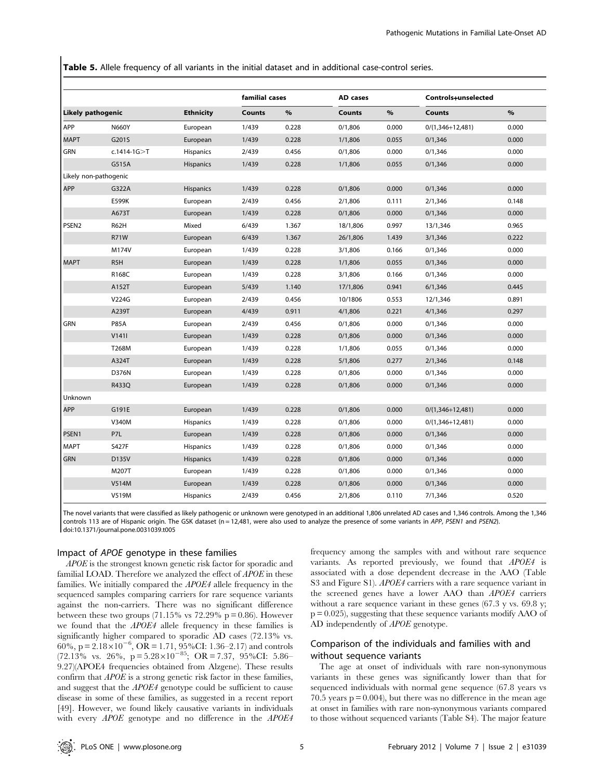Table 5. Allele frequency of all variants in the initial dataset and in additional case-control series.

|                       |                   |                  | familial cases |       | <b>AD</b> cases |       | Controls+unselected |       |  |
|-----------------------|-------------------|------------------|----------------|-------|-----------------|-------|---------------------|-------|--|
| Likely pathogenic     |                   | <b>Ethnicity</b> | <b>Counts</b>  | %     | Counts          | $\%$  | <b>Counts</b>       | $\%$  |  |
| APP                   | <b>N660Y</b>      | European         | 1/439          | 0.228 | 0/1,806         | 0.000 | $0/(1,346+12,481)$  | 0.000 |  |
| <b>MAPT</b>           | G201S             | European         | 1/439          | 0.228 | 1/1,806         | 0.055 | 0/1,346             | 0.000 |  |
| GRN                   | $c.1414 - 1G > T$ | <b>Hispanics</b> | 2/439          | 0.456 | 0/1,806         | 0.000 | 0/1,346             | 0.000 |  |
|                       | G515A             | <b>Hispanics</b> | 1/439          | 0.228 | 1/1,806         | 0.055 | 0/1,346             | 0.000 |  |
| Likely non-pathogenic |                   |                  |                |       |                 |       |                     |       |  |
| <b>APP</b>            | G322A             | <b>Hispanics</b> | 1/439          | 0.228 | 0/1,806         | 0.000 | 0/1,346             | 0.000 |  |
|                       | E599K             | European         | 2/439          | 0.456 | 2/1,806         | 0.111 | 2/1,346             | 0.148 |  |
|                       | A673T             | European         | 1/439          | 0.228 | 0/1,806         | 0.000 | 0/1,346             | 0.000 |  |
| PSEN <sub>2</sub>     | R62H              | Mixed            | 6/439          | 1.367 | 18/1,806        | 0.997 | 13/1,346            | 0.965 |  |
|                       | <b>R71W</b>       | European         | 6/439          | 1.367 | 26/1,806        | 1.439 | 3/1,346             | 0.222 |  |
|                       | M174V             | European         | 1/439          | 0.228 | 3/1,806         | 0.166 | 0/1,346             | 0.000 |  |
| <b>MAPT</b>           | R <sub>5</sub> H  | European         | 1/439          | 0.228 | 1/1,806         | 0.055 | 0/1,346             | 0.000 |  |
|                       | R168C             | European         | 1/439          | 0.228 | 3/1,806         | 0.166 | 0/1,346             | 0.000 |  |
|                       | A152T             | European         | 5/439          | 1.140 | 17/1,806        | 0.941 | 6/1,346             | 0.445 |  |
|                       | V224G             | European         | 2/439          | 0.456 | 10/1806         | 0.553 | 12/1,346            | 0.891 |  |
|                       | A239T             | European         | 4/439          | 0.911 | 4/1,806         | 0.221 | 4/1,346             | 0.297 |  |
| <b>GRN</b>            | <b>P85A</b>       | European         | 2/439          | 0.456 | 0/1,806         | 0.000 | 0/1,346             | 0.000 |  |
|                       | V141I             | European         | 1/439          | 0.228 | 0/1,806         | 0.000 | 0/1,346             | 0.000 |  |
|                       | T268M             | European         | 1/439          | 0.228 | 1/1,806         | 0.055 | 0/1,346             | 0.000 |  |
|                       | A324T             | European         | 1/439          | 0.228 | 5/1,806         | 0.277 | 2/1,346             | 0.148 |  |
|                       | D376N             | European         | 1/439          | 0.228 | 0/1,806         | 0.000 | 0/1,346             | 0.000 |  |
|                       | R433Q             | European         | 1/439          | 0.228 | 0/1,806         | 0.000 | 0/1,346             | 0.000 |  |
| Unknown               |                   |                  |                |       |                 |       |                     |       |  |
| <b>APP</b>            | G191E             | European         | 1/439          | 0.228 | 0/1,806         | 0.000 | $0/(1,346+12,481)$  | 0.000 |  |
|                       | V340M             | <b>Hispanics</b> | 1/439          | 0.228 | 0/1,806         | 0.000 | $0/(1,346+12,481)$  | 0.000 |  |
| PSEN1                 | P7L               | European         | 1/439          | 0.228 | 0/1,806         | 0.000 | 0/1,346             | 0.000 |  |
| <b>MAPT</b>           | S427F             | <b>Hispanics</b> | 1/439          | 0.228 | 0/1,806         | 0.000 | 0/1,346             | 0.000 |  |
| <b>GRN</b>            | D135V             | <b>Hispanics</b> | 1/439          | 0.228 | 0/1,806         | 0.000 | 0/1,346             | 0.000 |  |
|                       | M207T             | European         | 1/439          | 0.228 | 0/1,806         | 0.000 | 0/1,346             | 0.000 |  |
|                       | <b>V514M</b>      | European         | 1/439          | 0.228 | 0/1,806         | 0.000 | 0/1,346             | 0.000 |  |
|                       | V519M             | <b>Hispanics</b> | 2/439          | 0.456 | 2/1,806         | 0.110 | 7/1,346             | 0.520 |  |

The novel variants that were classified as likely pathogenic or unknown were genotyped in an additional 1,806 unrelated AD cases and 1,346 controls. Among the 1,346 controls 113 are of Hispanic origin. The GSK dataset (n = 12,481, were also used to analyze the presence of some variants in APP, PSEN1 and PSEN2). doi:10.1371/journal.pone.0031039.t005

#### Impact of APOE genotype in these families

APOE is the strongest known genetic risk factor for sporadic and familial LOAD. Therefore we analyzed the effect of APOE in these families. We initially compared the APOE4 allele frequency in the sequenced samples comparing carriers for rare sequence variants against the non-carriers. There was no significant difference between these two groups  $(71.15\% \text{ vs } 72.29\% \text{ p} = 0.86)$ . However we found that the *APOE4* allele frequency in these families is significantly higher compared to sporadic AD cases (72.13% vs.  $60\%, p = 2.18 \times 10^{-6}$ ,  $OR = 1.71$ ,  $95\% CI: 1.36-2.17$  and controls  $(72.13\% \text{ vs. } 26\%, \text{ p} = 5.28 \times 10^{-85}; \text{ OR} = 7.37, 95\% \text{ CI: } 5.86-$ 9.27)(APOE4 frequencies obtained from Alzgene). These results confirm that APOE is a strong genetic risk factor in these families, and suggest that the APOE4 genotype could be sufficient to cause disease in some of these families, as suggested in a recent report [49]. However, we found likely causative variants in individuals with every *APOE* genotype and no difference in the *APOE4*  frequency among the samples with and without rare sequence variants. As reported previously, we found that APOE4 is associated with a dose dependent decrease in the AAO (Table S3 and Figure S1). APOE4 carriers with a rare sequence variant in the screened genes have a lower AAO than APOE4 carriers without a rare sequence variant in these genes (67.3 y vs. 69.8 y;  $p = 0.025$ , suggesting that these sequence variants modify AAO of AD independently of APOE genotype.

# Comparison of the individuals and families with and without sequence variants

The age at onset of individuals with rare non-synonymous variants in these genes was significantly lower than that for sequenced individuals with normal gene sequence (67.8 years vs 70.5 years  $p = 0.004$ , but there was no difference in the mean age at onset in families with rare non-synonymous variants compared to those without sequenced variants (Table S4). The major feature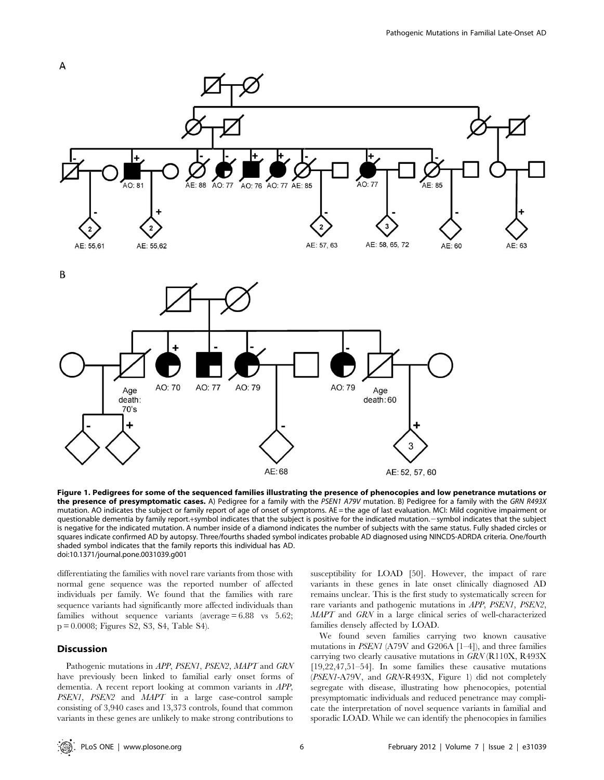

Figure 1. Pedigrees for some of the sequenced families illustrating the presence of phenocopies and low penetrance mutations or the presence of presymptomatic cases. A) Pedigree for a family with the PSEN1 A79V mutation. B) Pedigree for a family with the GRN R493X mutation. AO indicates the subject or family report of age of onset of symptoms. AE = the age of last evaluation. MCI: Mild cognitive impairment or questionable dementia by family report.+symbol indicates that the subject is positive for the indicated mutation. - symbol indicates that the subject is negative for the indicated mutation. A number inside of a diamond indicates the number of subjects with the same status. Fully shaded circles or squares indicate confirmed AD by autopsy. Three/fourths shaded symbol indicates probable AD diagnosed using NINCDS-ADRDA criteria. One/fourth shaded symbol indicates that the family reports this individual has AD. doi:10.1371/journal.pone.0031039.g001

differentiating the families with novel rare variants from those with normal gene sequence was the reported number of affected individuals per family. We found that the families with rare sequence variants had significantly more affected individuals than families without sequence variants (average  $= 6.88$  vs  $5.62$ ; p = 0.0008; Figures S2, S3, S4, Table S4).

#### Discussion

Pathogenic mutations in APP, PSEN1, PSEN2, MAPT and GRN have previously been linked to familial early onset forms of dementia. A recent report looking at common variants in APP, PSEN1, PSEN2 and MAPT in a large case-control sample consisting of 3,940 cases and 13,373 controls, found that common variants in these genes are unlikely to make strong contributions to

susceptibility for LOAD [50]. However, the impact of rare variants in these genes in late onset clinically diagnosed AD remains unclear. This is the first study to systematically screen for rare variants and pathogenic mutations in *APP*, *PSEN1*, *PSEN2*, MAPT and GRN in a large clinical series of well-characterized families densely affected by LOAD.

We found seven families carrying two known causative mutations in PSEN1 (A79V and G206A [1–4]), and three families carrying two clearly causative mutations in GRN (R110X, R493X [19,22,47,51–54]. In some families these causative mutations (PSEN1-A79V, and GRN-R493X, Figure 1) did not completely segregate with disease, illustrating how phenocopies, potential presymptomatic individuals and reduced penetrance may complicate the interpretation of novel sequence variants in familial and sporadic LOAD. While we can identify the phenocopies in families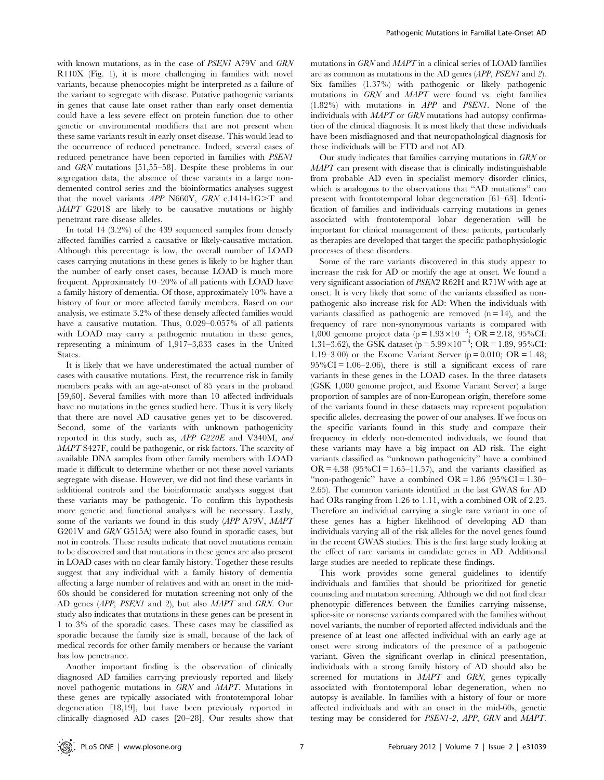with known mutations, as in the case of PSEN1 A79V and GRN R110X (Fig. 1), it is more challenging in families with novel variants, because phenocopies might be interpreted as a failure of the variant to segregate with disease. Putative pathogenic variants in genes that cause late onset rather than early onset dementia could have a less severe effect on protein function due to other genetic or environmental modifiers that are not present when these same variants result in early onset disease. This would lead to the occurrence of reduced penetrance. Indeed, several cases of reduced penetrance have been reported in families with PSEN1 and GRN mutations [51,55–58]. Despite these problems in our segregation data, the absence of these variants in a large nondemented control series and the bioinformatics analyses suggest that the novel variants APP N660Y, GRN c.1414-1G $\geq$ T and MAPT G201S are likely to be causative mutations or highly penetrant rare disease alleles.

In total 14 (3.2%) of the 439 sequenced samples from densely affected families carried a causative or likely-causative mutation. Although this percentage is low, the overall number of LOAD cases carrying mutations in these genes is likely to be higher than the number of early onset cases, because LOAD is much more frequent. Approximately 10–20% of all patients with LOAD have a family history of dementia. Of those, approximately 10% have a history of four or more affected family members. Based on our analysis, we estimate 3.2% of these densely affected families would have a causative mutation. Thus, 0.029–0.057% of all patients with LOAD may carry a pathogenic mutation in these genes, representing a minimum of 1,917–3,833 cases in the United States.

It is likely that we have underestimated the actual number of cases with causative mutations. First, the recurrence risk in family members peaks with an age-at-onset of 85 years in the proband [59,60]. Several families with more than 10 affected individuals have no mutations in the genes studied here. Thus it is very likely that there are novel AD causative genes yet to be discovered. Second, some of the variants with unknown pathogenicity reported in this study, such as, APP G220E and V340M, and MAPT S427F, could be pathogenic, or risk factors. The scarcity of available DNA samples from other family members with LOAD made it difficult to determine whether or not these novel variants segregate with disease. However, we did not find these variants in additional controls and the bioinformatic analyses suggest that these variants may be pathogenic. To confirm this hypothesis more genetic and functional analyses will be necessary. Lastly, some of the variants we found in this study (APP A79V, MAPT G201V and GRN G515A) were also found in sporadic cases, but not in controls. These results indicate that novel mutations remain to be discovered and that mutations in these genes are also present in LOAD cases with no clear family history. Together these results suggest that any individual with a family history of dementia affecting a large number of relatives and with an onset in the mid-60s should be considered for mutation screening not only of the AD genes (APP, PSEN1 and 2), but also MAPT and GRN. Our study also indicates that mutations in these genes can be present in 1 to 3% of the sporadic cases. These cases may be classified as sporadic because the family size is small, because of the lack of medical records for other family members or because the variant has low penetrance.

Another important finding is the observation of clinically diagnosed AD families carrying previously reported and likely novel pathogenic mutations in GRN and MAPT. Mutations in these genes are typically associated with frontotemporal lobar degeneration [18,19], but have been previously reported in clinically diagnosed AD cases [20–28]. Our results show that

mutations in GRN and MAPT in a clinical series of LOAD families are as common as mutations in the AD genes (APP, PSEN1 and 2). Six families (1.37%) with pathogenic or likely pathogenic mutations in GRN and MAPT were found vs. eight families (1.82%) with mutations in APP and PSEN1. None of the individuals with MAPT or GRN mutations had autopsy confirmation of the clinical diagnosis. It is most likely that these individuals have been misdiagnosed and that neuropathological diagnosis for these individuals will be FTD and not AD.

Our study indicates that families carrying mutations in GRN or MAPT can present with disease that is clinically indistinguishable from probable AD even in specialist memory disorder clinics, which is analogous to the observations that "AD mutations" can present with frontotemporal lobar degeneration [61–63]. Identification of families and individuals carrying mutations in genes associated with frontotemporal lobar degeneration will be important for clinical management of these patients, particularly as therapies are developed that target the specific pathophysiologic processes of these disorders.

Some of the rare variants discovered in this study appear to increase the risk for AD or modify the age at onset. We found a very significant association of PSEN2 R62H and R71W with age at onset. It is very likely that some of the variants classified as nonpathogenic also increase risk for AD: When the individuals with variants classified as pathogenic are removed  $(n = 14)$ , and the frequency of rare non-synonymous variants is compared with 1,000 genome project data ( $p = 1.93 \times 10^{-3}$ ; OR = 2.18, 95%CI: 1.31–3.62), the GSK dataset  $(p = 5.99 \times 10^{-3}; \text{ OR } = 1.89, 95\% \text{ CI:}$ 1.19–3.00) or the Exome Variant Server ( $p = 0.010$ ; OR = 1.48;  $95\% \text{CI} = 1.06{\text -}2.06$ , there is still a significant excess of rare variants in these genes in the LOAD cases. In the three datasets (GSK 1,000 genome project, and Exome Variant Server) a large proportion of samples are of non-European origin, therefore some of the variants found in these datasets may represent population specific alleles, decreasing the power of our analyses. If we focus on the specific variants found in this study and compare their frequency in elderly non-demented individuals, we found that these variants may have a big impact on AD risk. The eight variants classified as ''unknown pathogenicity'' have a combined  $OR = 4.38$  (95% $CI = 1.65-11.57$ ), and the variants classified as "non-pathogenic" have a combined  $OR = 1.86$  (95% $CI = 1.30-$ 2.65). The common variants identified in the last GWAS for AD had ORs ranging from 1.26 to 1.11, with a combined OR of 2.23. Therefore an individual carrying a single rare variant in one of these genes has a higher likelihood of developing AD than individuals varying all of the risk alleles for the novel genes found in the recent GWAS studies. This is the first large study looking at the effect of rare variants in candidate genes in AD. Additional large studies are needed to replicate these findings.

This work provides some general guidelines to identify individuals and families that should be prioritized for genetic counseling and mutation screening. Although we did not find clear phenotypic differences between the families carrying missense, splice-site or nonsense variants compared with the families without novel variants, the number of reported affected individuals and the presence of at least one affected individual with an early age at onset were strong indicators of the presence of a pathogenic variant. Given the significant overlap in clinical presentation, individuals with a strong family history of AD should also be screened for mutations in MAPT and GRN, genes typically associated with frontotemporal lobar degeneration, when no autopsy is available. In families with a history of four or more affected individuals and with an onset in the mid-60s, genetic testing may be considered for PSEN1-2, APP, GRN and MAPT.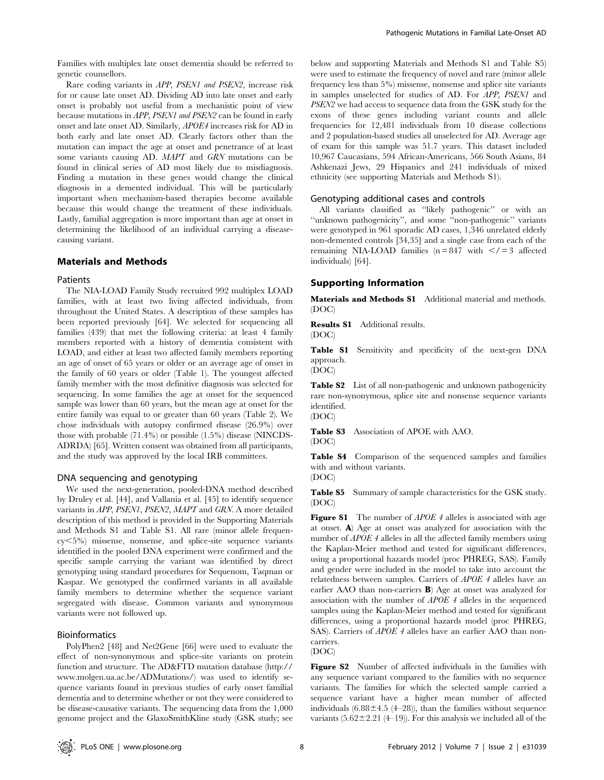Families with multiplex late onset dementia should be referred to genetic counsellors.

Rare coding variants in APP, PSEN1 and PSEN2, increase risk for or cause late onset AD. Dividing AD into late onset and early onset is probably not useful from a mechanistic point of view because mutations in APP, PSEN1 and PSEN2 can be found in early onset and late onset AD. Similarly, APOE4 increases risk for AD in both early and late onset AD. Clearly factors other than the mutation can impact the age at onset and penetrance of at least some variants causing AD. MAPT and GRN mutations can be found in clinical series of AD most likely due to misdiagnosis. Finding a mutation in these genes would change the clinical diagnosis in a demented individual. This will be particularly important when mechanism-based therapies become available because this would change the treatment of these individuals. Lastly, familial aggregation is more important than age at onset in determining the likelihood of an individual carrying a diseasecausing variant.

#### Materials and Methods

#### Patients

The NIA-LOAD Family Study recruited 992 multiplex LOAD families, with at least two living affected individuals, from throughout the United States. A description of these samples has been reported previously [64]. We selected for sequencing all families (439) that met the following criteria: at least 4 family members reported with a history of dementia consistent with LOAD, and either at least two affected family members reporting an age of onset of 65 years or older or an average age of onset in the family of 60 years or older (Table 1). The youngest affected family member with the most definitive diagnosis was selected for sequencing. In some families the age at onset for the sequenced sample was lower than 60 years, but the mean age at onset for the entire family was equal to or greater than 60 years (Table 2). We chose individuals with autopsy confirmed disease (26.9%) over those with probable (71.4%) or possible (1.5%) disease (NINCDS-ADRDA) [65]. Written consent was obtained from all participants, and the study was approved by the local IRB committees.

# DNA sequencing and genotyping

We used the next-generation, pooled-DNA method described by Druley et al. [44], and Vallania et al. [45] to identify sequence variants in APP, PSEN1, PSEN2, MAPT and GRN. A more detailed description of this method is provided in the Supporting Materials and Methods S1 and Table S1. All rare (minor allele frequen- $\text{cv} < 5\%$  missense, nonsense, and splice-site sequence variants identified in the pooled DNA experiment were confirmed and the specific sample carrying the variant was identified by direct genotyping using standard procedures for Sequenom, Taqman or Kaspar. We genotyped the confirmed variants in all available family members to determine whether the sequence variant segregated with disease. Common variants and synonymous variants were not followed up.

# Bioinformatics

PolyPhen2 [48] and Net2Gene [66] were used to evaluate the effect of non-synonymous and splice-site variants on protein function and structure. The AD&FTD mutation database (http:// www.molgen.ua.ac.be/ADMutations/) was used to identify sequence variants found in previous studies of early onset familial dementia and to determine whether or not they were considered to be disease-causative variants. The sequencing data from the 1,000 genome project and the GlaxoSmithKline study (GSK study; see below and supporting Materials and Methods S1 and Table S5) were used to estimate the frequency of novel and rare (minor allele frequency less than 5%) missense, nonsense and splice site variants in samples unselected for studies of AD. For APP, PSEN1 and PSEN2 we had access to sequence data from the GSK study for the exons of these genes including variant counts and allele frequencies for 12,481 individuals from 10 disease collections and 2 population-based studies all unselected for AD. Average age of exam for this sample was 51.7 years. This dataset included 10,967 Caucasians, 594 African-Americans, 566 South Asians, 84 Ashkenazi Jews, 29 Hispanics and 241 individuals of mixed ethnicity (see supporting Materials and Methods S1).

#### Genotyping additional cases and controls

All variants classified as ''likely pathogenic'' or with an ''unknown pathogenicity'', and some ''non-pathogenic'' variants were genotyped in 961 sporadic AD cases, 1,346 unrelated elderly non-demented controls [34,35] and a single case from each of the remaining NIA-LOAD families ( $n = 847$  with  $\lt/ = 3$  affected individuals) [64].

# Supporting Information

Materials and Methods S1 Additional material and methods. (DOC)

Results S1 Additional results. (DOC)

Table S1 Sensitivity and specificity of the next-gen DNA approach.

(DOC)

Table S2 List of all non-pathogenic and unknown pathogenicity rare non-synonymous, splice site and nonsense sequence variants identified. (DOC)

Table S3 Association of APOE with AAO. (DOC)

Table S4 Comparison of the sequenced samples and families with and without variants.

(DOC)

Table S5 Summary of sample characteristics for the GSK study. (DOC)

**Figure S1** The number of *APOE 4* alleles is associated with age at onset. A) Age at onset was analyzed for association with the number of APOE 4 alleles in all the affected family members using the Kaplan-Meier method and tested for significant differences, using a proportional hazards model (proc PHREG, SAS). Family and gender were included in the model to take into account the relatedness between samples. Carriers of APOE 4 alleles have an earlier AAO than non-carriers B) Age at onset was analyzed for association with the number of APOE 4 alleles in the sequenced samples using the Kaplan-Meier method and tested for significant differences, using a proportional hazards model (proc PHREG, SAS). Carriers of APOE 4 alleles have an earlier AAO than noncarriers.

(DOC)

Figure S2 Number of affected individuals in the families with any sequence variant compared to the families with no sequence variants. The families for which the selected sample carried a sequence variant have a higher mean number of affected individuals  $(6.88 \pm 4.5 \pm 4.5)$ , than the families without sequence variants  $(5.62 \pm 2.21 \ (+19))$ . For this analysis we included all of the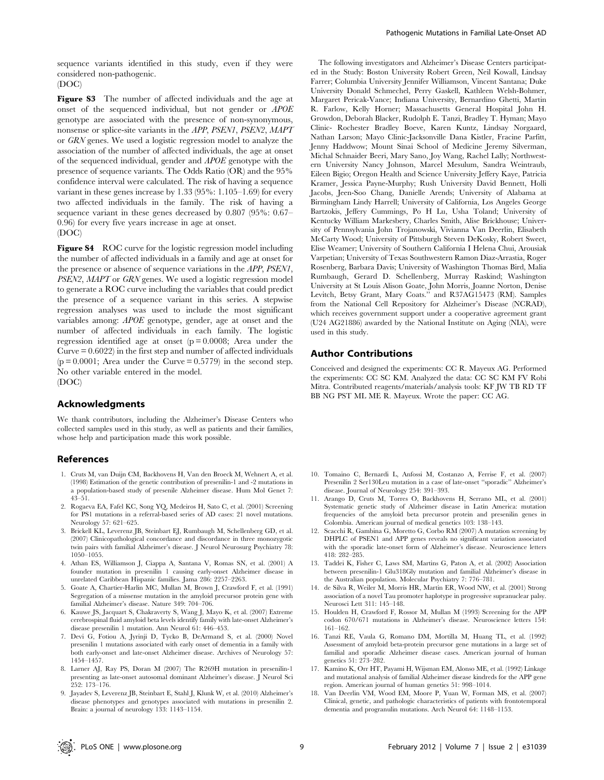sequence variants identified in this study, even if they were considered non-pathogenic. (DOC)

Figure S3 The number of affected individuals and the age at onset of the sequenced individual, but not gender or APOE genotype are associated with the presence of non-synonymous, nonsense or splice-site variants in the APP, PSEN1, PSEN2, MAPT or GRN genes. We used a logistic regression model to analyze the association of the number of affected individuals, the age at onset of the sequenced individual, gender and APOE genotype with the presence of sequence variants. The Odds Ratio (OR) and the 95% confidence interval were calculated. The risk of having a sequence variant in these genes increase by 1.33 (95%: 1.105–1.69) for every two affected individuals in the family. The risk of having a sequence variant in these genes decreased by 0.807 (95%: 0.67– 0.96) for every five years increase in age at onset. (DOC)

Figure S4 ROC curve for the logistic regression model including the number of affected individuals in a family and age at onset for the presence or absence of sequence variations in the APP, PSEN1, PSEN2, MAPT or GRN genes. We used a logistic regression model to generate a ROC curve including the variables that could predict the presence of a sequence variant in this series. A stepwise regression analyses was used to include the most significant variables among: APOE genotype, gender, age at onset and the number of affected individuals in each family. The logistic regression identified age at onset  $(p = 0.0008;$  Area under the Curve  $= 0.6022$ ) in the first step and number of affected individuals  $(p = 0.0001;$  Area under the Curve = 0.5779) in the second step. No other variable entered in the model. (DOC)

Acknowledgments

We thank contributors, including the Alzheimer's Disease Centers who collected samples used in this study, as well as patients and their families, whose help and participation made this work possible.

#### References

- 1. Cruts M, van Duijn CM, Backhovens H, Van den Broeck M, Wehnert A, et al. (1998) Estimation of the genetic contribution of presenilin-1 and -2 mutations in a population-based study of presenile Alzheimer disease. Hum Mol Genet 7:  $43 - 51$ .
- 2. Rogaeva EA, Fafel KC, Song YQ, Medeiros H, Sato C, et al. (2001) Screening for PS1 mutations in a referral-based series of AD cases: 21 novel mutations. Neurology 57: 621–625.
- 3. Brickell KL, Leverenz JB, Steinbart EJ, Rumbaugh M, Schellenberg GD, et al. (2007) Clinicopathological concordance and discordance in three monozygotic twin pairs with familial Alzheimer's disease. J Neurol Neurosurg Psychiatry 78: 1050–1055.
- 4. Athan ES, Williamson J, Ciappa A, Santana V, Romas SN, et al. (2001) A founder mutation in presenilin 1 causing early-onset Alzheimer disease in unrelated Caribbean Hispanic families. Jama 286: 2257–2263.
- 5. Goate A, Chartier-Harlin MC, Mullan M, Brown J, Crawford F, et al. (1991) Segregation of a missense mutation in the amyloid precursor protein gene with familial Alzheimer's disease. Nature 349: 704–706.
- 6. Kauwe JS, Jacquart S, Chakraverty S, Wang J, Mayo K, et al. (2007) Extreme cerebrospinal fluid amyloid beta levels identify family with late-onset Alzheimer's disease presenilin 1 mutation. Ann Neurol 61: 446–453.
- 7. Devi G, Fotiou A, Jyrinji D, Tycko B, DeArmand S, et al. (2000) Novel presenilin 1 mutations associated with early onset of dementia in a family with both early-onset and late-onset Alzheimer disease. Archives of Neurology 57: 1454–1457.
- 8. Larner AJ, Ray PS, Doran M (2007) The R269H mutation in presenilin-1 presenting as late-onset autosomal dominant Alzheimer's disease. J Neurol Sci 252: 173–176.
- 9. Jayadev S, Leverenz JB, Steinbart E, Stahl J, Klunk W, et al. (2010) Alzheimer's disease phenotypes and genotypes associated with mutations in presenilin 2. Brain: a journal of neurology 133: 1143–1154.

The following investigators and Alzheimer's Disease Centers participated in the Study: Boston University Robert Green, Neil Kowall, Lindsay Farrer; Columbia University Jennifer Williamson, Vincent Santana; Duke University Donald Schmechel, Perry Gaskell, Kathleen Welsh-Bohmer, Margaret Pericak-Vance; Indiana University, Bernardino Ghetti, Martin R. Farlow, Kelly Horner; Massachusetts General Hospital John H. Growdon, Deborah Blacker, Rudolph E. Tanzi, Bradley T. Hyman; Mayo Clinic- Rochester Bradley Boeve, Karen Kuntz, Lindsay Norgaard, Nathan Larson; Mayo Clinic-Jacksonville Dana Kistler, Fracine Parfitt, Jenny Haddwow; Mount Sinai School of Medicine Jeremy Silverman, Michal Schnaider Beeri, Mary Sano, Joy Wang, Rachel Lally; Northwestern University Nancy Johnson, Marcel Mesulum, Sandra Weintraub, Eileen Bigio; Oregon Health and Science University Jeffery Kaye, Patricia Kramer, Jessica Payne-Murphy; Rush University David Bennett, Holli Jacobs, Jeen-Soo Chang, Danielle Arends; University of Alabama at Birmingham Lindy Harrell; University of California, Los Angeles George Bartzokis, Jeffery Cummings, Po H Lu, Usha Toland; University of Kentucky William Markesbery, Charles Smith, Alise Brickhouse; University of Pennsylvania John Trojanowski, Vivianna Van Deerlin, Elisabeth McCarty Wood; University of Pittsburgh Steven DeKosky, Robert Sweet, Elise Weamer; University of Southern California I Helena Chui, Arousiak Varpetian; University of Texas Southwestern Ramon Diaz-Arrastia, Roger Rosenberg, Barbara Davis; University of Washington Thomas Bird, Malia Rumbaugh, Gerard D. Schellenberg, Murray Raskind; Washington University at St Louis Alison Goate, John Morris, Joanne Norton, Denise Levitch, Betsy Grant, Mary Coats.'' and R37AG15473 (RM). Samples from the National Cell Repository for Alzheimer's Disease (NCRAD), which receives government support under a cooperative agreement grant (U24 AG21886) awarded by the National Institute on Aging (NIA), were used in this study.

## Author Contributions

Conceived and designed the experiments: CC R. Mayeux AG. Performed the experiments: CC SC KM. Analyzed the data: CC SC KM FV Robi Mitra. Contributed reagents/materials/analysis tools: KF JW TB RD TF BB NG PST ML ME R. Mayeux. Wrote the paper: CC AG.

- 10. Tomaino C, Bernardi L, Anfossi M, Costanzo A, Ferrise F, et al. (2007) Presenilin 2 Ser130Leu mutation in a case of late-onset ''sporadic'' Alzheimer's disease. Journal of Neurology 254: 391–393.
- 11. Arango D, Cruts M, Torres O, Backhovens H, Serrano ML, et al. (2001) Systematic genetic study of Alzheimer disease in Latin America: mutation frequencies of the amyloid beta precursor protein and presenilin genes in Colombia. American journal of medical genetics 103: 138–143.
- 12. Scacchi R, Gambina G, Moretto G, Corbo RM (2007) A mutation screening by DHPLC of PSEN1 and APP genes reveals no significant variation associated with the sporadic late-onset form of Alzheimer's disease. Neuroscience letters 418: 282–285.
- 13. Taddei K, Fisher C, Laws SM, Martins G, Paton A, et al. (2002) Association between presenilin-1 Glu318Gly mutation and familial Alzheimer's disease in the Australian population. Molecular Psychiatry 7: 776–781.
- 14. de Silva R, Weiler M, Morris HR, Martin ER, Wood NW, et al. (2001) Strong association of a novel Tau promoter haplotype in progressive supranuclear palsy. Neurosci Lett 311: 145–148.
- 15. Houlden H, Crawford F, Rossor M, Mullan M (1993) Screening for the APP codon 670/671 mutations in Alzheimer's disease. Neuroscience letters 154: 161–162.
- 16. Tanzi RE, Vaula G, Romano DM, Mortilla M, Huang TL, et al. (1992) Assessment of amyloid beta-protein precursor gene mutations in a large set of familial and sporadic Alzheimer disease cases. American journal of human genetics 51: 273–282.
- 17. Kamino K, Orr HT, Payami H, Wijsman EM, Alonso ME, et al. (1992) Linkage and mutational analysis of familial Alzheimer disease kindreds for the APP gene region. American journal of human genetics 51: 998–1014.
- 18. Van Deerlin VM, Wood EM, Moore P, Yuan W, Forman MS, et al. (2007) Clinical, genetic, and pathologic characteristics of patients with frontotemporal dementia and progranulin mutations. Arch Neurol 64: 1148–1153.